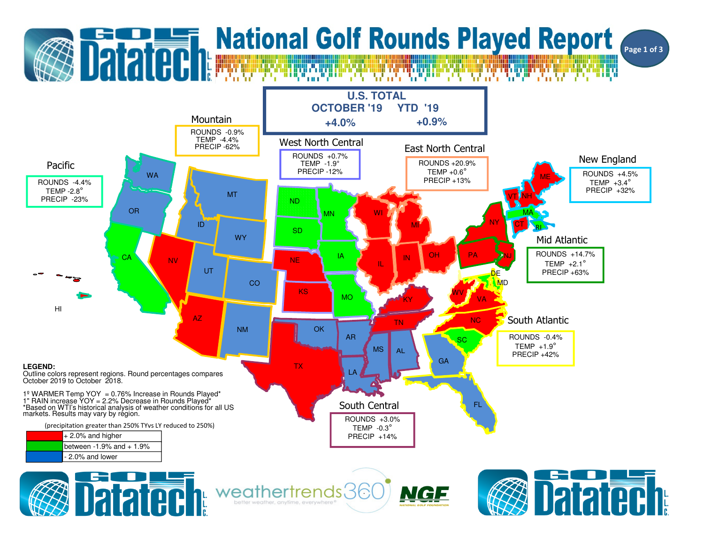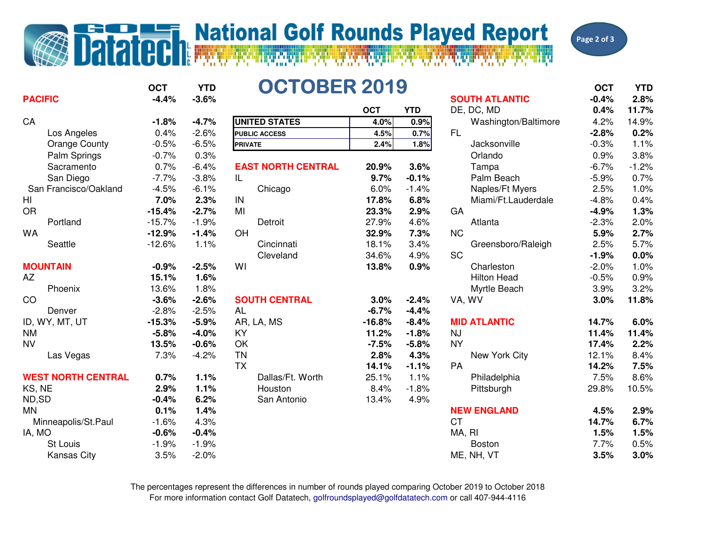## **Datatedh National Golf Rounds Played Report**



| <b>PACIFIC</b>            | <b>OCT</b><br>$-4.4%$ | <b>YTD</b><br>$-3.6%$ | <b>OCTOBER 2019</b>       |            |            | <b>SOUTH ATLANTIC</b> | <b>OCT</b><br>$-0.4%$ | <b>YTD</b><br>2.8% |
|---------------------------|-----------------------|-----------------------|---------------------------|------------|------------|-----------------------|-----------------------|--------------------|
|                           |                       |                       |                           | <b>OCT</b> | <b>YTD</b> | DE, DC, MD            | 0.4%                  | 11.7%              |
| CA                        | $-1.8%$               | $-4.7%$               | <b>UNITED STATES</b>      | 4.0%       | 0.9%       | Washington/Baltimore  | 4.2%                  | 14.9%              |
| Los Angeles               | 0.4%                  | $-2.6%$               | <b>PUBLIC ACCESS</b>      | 4.5%       | 0.7%       | <b>FL</b>             | $-2.8%$               | 0.2%               |
| <b>Orange County</b>      | $-0.5%$               | $-6.5%$               | <b>PRIVATE</b>            | 2.4%       | 1.8%       | Jacksonville          | $-0.3%$               | 1.1%               |
| Palm Springs              | $-0.7%$               | 0.3%                  |                           |            |            | Orlando               | 0.9%                  | 3.8%               |
| Sacramento                | 0.7%                  | $-6.4%$               | <b>EAST NORTH CENTRAL</b> | 20.9%      | 3.6%       | Tampa                 | $-6.7%$               | $-1.2%$            |
| San Diego                 | $-7.7%$               | $-3.8%$               | IL.                       | 9.7%       | $-0.1%$    | Palm Beach            | $-5.9%$               | 0.7%               |
| San Francisco/Oakland     | $-4.5%$               | $-6.1%$               | Chicago                   | 6.0%       | $-1.4%$    | Naples/Ft Myers       | 2.5%                  | 1.0%               |
| HI                        | 7.0%                  | 2.3%                  | IN                        | 17.8%      | 6.8%       | Miami/Ft.Lauderdale   | $-4.8%$               | 0.4%               |
| <b>OR</b>                 | $-15.4%$              | $-2.7%$               | MI                        | 23.3%      | 2.9%       | GA                    | $-4.9%$               | 1.3%               |
| Portland                  | $-15.7%$              | $-1.9%$               | Detroit                   | 27.9%      | 4.6%       | Atlanta               | $-2.3%$               | 2.0%               |
| <b>WA</b>                 | $-12.9%$              | $-1.4%$               | OH                        | 32.9%      | 7.3%       | <b>NC</b>             | 5.9%                  | 2.7%               |
| Seattle                   | $-12.6%$              | 1.1%                  | Cincinnati                | 18.1%      | 3.4%       | Greensboro/Raleigh    | 2.5%                  | 5.7%               |
|                           |                       |                       | Cleveland                 | 34.6%      | 4.9%       | <b>SC</b>             | $-1.9%$               | 0.0%               |
| <b>MOUNTAIN</b>           | $-0.9%$               | $-2.5%$               | WI                        | 13.8%      | 0.9%       | Charleston            | $-2.0%$               | 1.0%               |
| AZ                        | 15.1%                 | 1.6%                  |                           |            |            | <b>Hilton Head</b>    | $-0.5%$               | 0.9%               |
| Phoenix                   | 13.6%                 | 1.8%                  |                           |            |            | Myrtle Beach          | 3.9%                  | 3.2%               |
| CO                        | $-3.6%$               | $-2.6%$               | <b>SOUTH CENTRAL</b>      | 3.0%       | $-2.4%$    | VA, WV                | 3.0%                  | 11.8%              |
| Denver                    | $-2.8%$               | $-2.5%$               | <b>AL</b>                 | $-6.7%$    | $-4.4%$    |                       |                       |                    |
| ID, WY, MT, UT            | $-15.3%$              | $-5.9%$               | AR, LA, MS                | $-16.8%$   | $-8.4%$    | <b>MID ATLANTIC</b>   | 14.7%                 | 6.0%               |
| <b>NM</b>                 | $-5.8%$               | $-4.0%$               | KY                        | 11.2%      | $-1.8%$    | <b>NJ</b>             | 11.4%                 | 11.4%              |
| <b>NV</b>                 | 13.5%                 | $-0.6%$               | OK                        | $-7.5%$    | $-5.8%$    | <b>NY</b>             | 17.4%                 | 2.2%               |
| Las Vegas                 | 7.3%                  | $-4.2%$               | <b>TN</b>                 | 2.8%       | 4.3%       | New York City         | 12.1%                 | 8.4%               |
|                           |                       |                       | <b>TX</b>                 | 14.1%      | $-1.1%$    | PA                    | 14.2%                 | 7.5%               |
| <b>WEST NORTH CENTRAL</b> | 0.7%                  | 1.1%                  | Dallas/Ft. Worth          | 25.1%      | 1.1%       | Philadelphia          | 7.5%                  | 8.6%               |
| KS, NE                    | 2.9%                  | 1.1%                  | Houston                   | 8.4%       | $-1.8%$    | Pittsburgh            | 29.8%                 | 10.5%              |
| ND,SD                     | $-0.4%$               | 6.2%                  | San Antonio               | 13.4%      | 4.9%       |                       |                       |                    |
| <b>MN</b>                 | 0.1%                  | 1.4%                  |                           |            |            | <b>NEW ENGLAND</b>    | 4.5%                  | 2.9%               |
| Minneapolis/St.Paul       | $-1.6%$               | 4.3%                  |                           |            |            | <b>CT</b>             | 14.7%                 | 6.7%               |
| IA, MO                    | $-0.6%$               | $-0.4%$               |                           |            |            | MA, RI                | 1.5%                  | 1.5%               |
| St Louis                  | $-1.9%$               | $-1.9%$               |                           |            |            | <b>Boston</b>         | 7.7%                  | 0.5%               |
| <b>Kansas City</b>        | 3.5%                  | $-2.0%$               |                           |            |            | ME, NH, VT            | 3.5%                  | 3.0%               |

For more information contact Golf Datatech, golfroundsplayed@golfdatatech.com or call 407-944-4116The percentages represent the differences in number of rounds played comparing October 2019 to October 2018